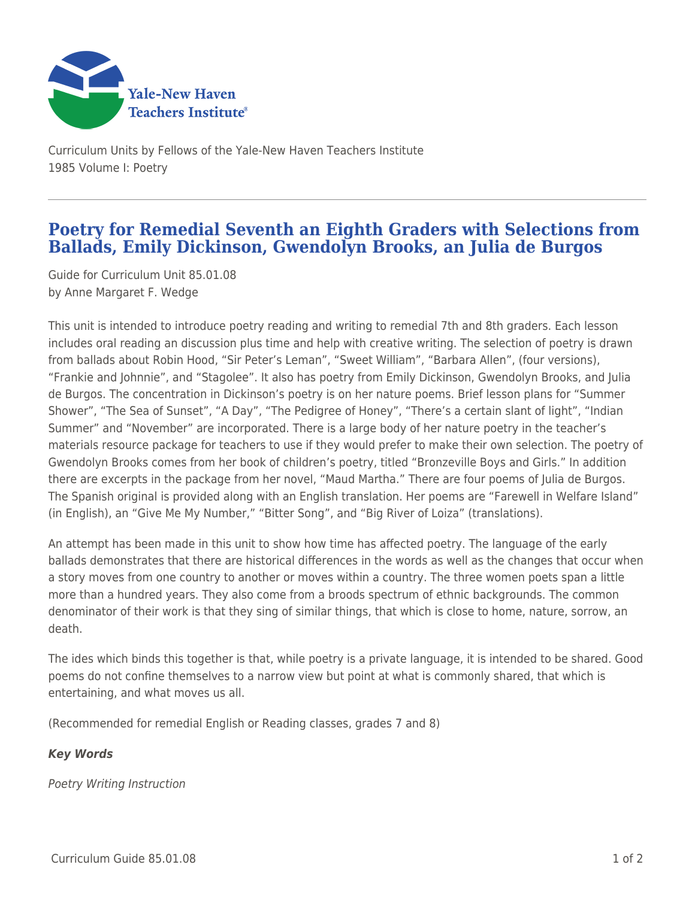

Curriculum Units by Fellows of the Yale-New Haven Teachers Institute 1985 Volume I: Poetry

## **Poetry for Remedial Seventh an Eighth Graders with Selections from Ballads, Emily Dickinson, Gwendolyn Brooks, an Julia de Burgos**

Guide for Curriculum Unit 85.01.08 by Anne Margaret F. Wedge

This unit is intended to introduce poetry reading and writing to remedial 7th and 8th graders. Each lesson includes oral reading an discussion plus time and help with creative writing. The selection of poetry is drawn from ballads about Robin Hood, "Sir Peter's Leman", "Sweet William", "Barbara Allen", (four versions), "Frankie and Johnnie", and "Stagolee". It also has poetry from Emily Dickinson, Gwendolyn Brooks, and Julia de Burgos. The concentration in Dickinson's poetry is on her nature poems. Brief lesson plans for "Summer Shower", "The Sea of Sunset", "A Day", "The Pedigree of Honey", "There's a certain slant of light", "Indian Summer" and "November" are incorporated. There is a large body of her nature poetry in the teacher's materials resource package for teachers to use if they would prefer to make their own selection. The poetry of Gwendolyn Brooks comes from her book of children's poetry, titled "Bronzeville Boys and Girls." In addition there are excerpts in the package from her novel, "Maud Martha." There are four poems of Julia de Burgos. The Spanish original is provided along with an English translation. Her poems are "Farewell in Welfare Island" (in English), an "Give Me My Number," "Bitter Song", and "Big River of Loiza" (translations).

An attempt has been made in this unit to show how time has affected poetry. The language of the early ballads demonstrates that there are historical differences in the words as well as the changes that occur when a story moves from one country to another or moves within a country. The three women poets span a little more than a hundred years. They also come from a broods spectrum of ethnic backgrounds. The common denominator of their work is that they sing of similar things, that which is close to home, nature, sorrow, an death.

The ides which binds this together is that, while poetry is a private language, it is intended to be shared. Good poems do not confine themselves to a narrow view but point at what is commonly shared, that which is entertaining, and what moves us all.

(Recommended for remedial English or Reading classes, grades 7 and 8)

## *Key Words*

Poetry Writing Instruction